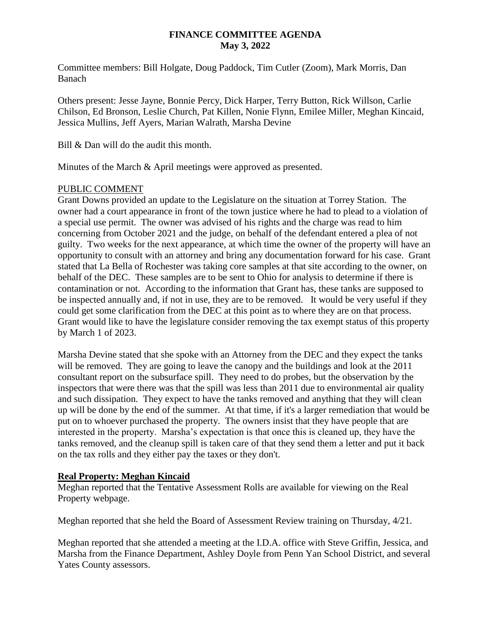### **FINANCE COMMITTEE AGENDA May 3, 2022**

Committee members: Bill Holgate, Doug Paddock, Tim Cutler (Zoom), Mark Morris, Dan Banach

Others present: Jesse Jayne, Bonnie Percy, Dick Harper, Terry Button, Rick Willson, Carlie Chilson, Ed Bronson, Leslie Church, Pat Killen, Nonie Flynn, Emilee Miller, Meghan Kincaid, Jessica Mullins, Jeff Ayers, Marian Walrath, Marsha Devine

Bill & Dan will do the audit this month.

Minutes of the March & April meetings were approved as presented.

## PUBLIC COMMENT

Grant Downs provided an update to the Legislature on the situation at Torrey Station. The owner had a court appearance in front of the town justice where he had to plead to a violation of a special use permit. The owner was advised of his rights and the charge was read to him concerning from October 2021 and the judge, on behalf of the defendant entered a plea of not guilty. Two weeks for the next appearance, at which time the owner of the property will have an opportunity to consult with an attorney and bring any documentation forward for his case. Grant stated that La Bella of Rochester was taking core samples at that site according to the owner, on behalf of the DEC. These samples are to be sent to Ohio for analysis to determine if there is contamination or not. According to the information that Grant has, these tanks are supposed to be inspected annually and, if not in use, they are to be removed. It would be very useful if they could get some clarification from the DEC at this point as to where they are on that process. Grant would like to have the legislature consider removing the tax exempt status of this property by March 1 of 2023.

Marsha Devine stated that she spoke with an Attorney from the DEC and they expect the tanks will be removed. They are going to leave the canopy and the buildings and look at the 2011 consultant report on the subsurface spill. They need to do probes, but the observation by the inspectors that were there was that the spill was less than 2011 due to environmental air quality and such dissipation. They expect to have the tanks removed and anything that they will clean up will be done by the end of the summer. At that time, if it's a larger remediation that would be put on to whoever purchased the property. The owners insist that they have people that are interested in the property. Marsha's expectation is that once this is cleaned up, they have the tanks removed, and the cleanup spill is taken care of that they send them a letter and put it back on the tax rolls and they either pay the taxes or they don't.

## **Real Property: Meghan Kincaid**

Meghan reported that the Tentative Assessment Rolls are available for viewing on the Real Property webpage.

Meghan reported that she held the Board of Assessment Review training on Thursday, 4/21.

Meghan reported that she attended a meeting at the I.D.A. office with Steve Griffin, Jessica, and Marsha from the Finance Department, Ashley Doyle from Penn Yan School District, and several Yates County assessors.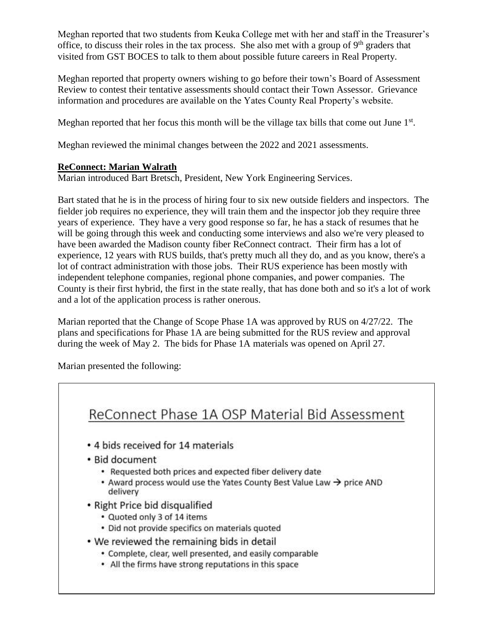Meghan reported that two students from Keuka College met with her and staff in the Treasurer's office, to discuss their roles in the tax process. She also met with a group of  $9<sup>th</sup>$  graders that visited from GST BOCES to talk to them about possible future careers in Real Property.

Meghan reported that property owners wishing to go before their town's Board of Assessment Review to contest their tentative assessments should contact their Town Assessor. Grievance information and procedures are available on the Yates County Real Property's website.

Meghan reported that her focus this month will be the village tax bills that come out June  $1<sup>st</sup>$ .

Meghan reviewed the minimal changes between the 2022 and 2021 assessments.

## **ReConnect: Marian Walrath**

Marian introduced Bart Bretsch, President, New York Engineering Services.

Bart stated that he is in the process of hiring four to six new outside fielders and inspectors. The fielder job requires no experience, they will train them and the inspector job they require three years of experience. They have a very good response so far, he has a stack of resumes that he will be going through this week and conducting some interviews and also we're very pleased to have been awarded the Madison county fiber ReConnect contract. Their firm has a lot of experience, 12 years with RUS builds, that's pretty much all they do, and as you know, there's a lot of contract administration with those jobs. Their RUS experience has been mostly with independent telephone companies, regional phone companies, and power companies. The County is their first hybrid, the first in the state really, that has done both and so it's a lot of work and a lot of the application process is rather onerous.

Marian reported that the Change of Scope Phase 1A was approved by RUS on 4/27/22. The plans and specifications for Phase 1A are being submitted for the RUS review and approval during the week of May 2. The bids for Phase 1A materials was opened on April 27.

Marian presented the following:

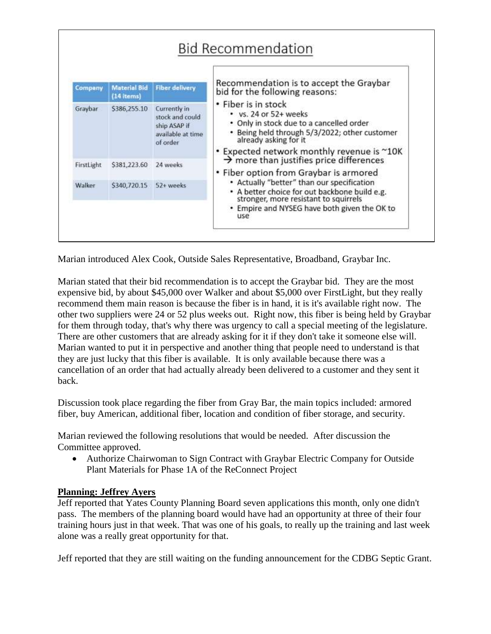| Company    | <b>Material Bid</b><br>$(14$ items) | <b>Fiber delivery</b>                                                            | Recommendation is to accept the Graybar<br>bid for the following reasons:<br>• Fiber is in stock<br>• vs. 24 or 52+ weeks<br>• Only in stock due to a cancelled order<br>• Being held through 5/3/2022; other customer<br>already asking for it |
|------------|-------------------------------------|----------------------------------------------------------------------------------|-------------------------------------------------------------------------------------------------------------------------------------------------------------------------------------------------------------------------------------------------|
| Graybar    | \$386,255.10                        | Currently in<br>stock and could<br>ship ASAP if<br>available at time<br>of order |                                                                                                                                                                                                                                                 |
|            |                                     |                                                                                  | • Expected network monthly revenue is ~10K<br>$\rightarrow$ more than justifies price differences                                                                                                                                               |
| FirstLight | \$381,223.60                        | 24 weeks                                                                         | • Fiber option from Graybar is armored<br>• Actually "better" than our specification<br>• A better choice for out backbone build e.g.<br>stronger, more resistant to squirrels<br>• Empire and NYSEG have both given the OK to<br>use           |
| Walker     | \$340,720.15                        | 52+ weeks                                                                        |                                                                                                                                                                                                                                                 |

Marian introduced Alex Cook, Outside Sales Representative, Broadband, Graybar Inc.

Marian stated that their bid recommendation is to accept the Graybar bid. They are the most expensive bid, by about \$45,000 over Walker and about \$5,000 over FirstLight, but they really recommend them main reason is because the fiber is in hand, it is it's available right now. The other two suppliers were 24 or 52 plus weeks out. Right now, this fiber is being held by Graybar for them through today, that's why there was urgency to call a special meeting of the legislature. There are other customers that are already asking for it if they don't take it someone else will. Marian wanted to put it in perspective and another thing that people need to understand is that they are just lucky that this fiber is available. It is only available because there was a cancellation of an order that had actually already been delivered to a customer and they sent it back.

Discussion took place regarding the fiber from Gray Bar, the main topics included: armored fiber, buy American, additional fiber, location and condition of fiber storage, and security.

Marian reviewed the following resolutions that would be needed. After discussion the Committee approved.

 Authorize Chairwoman to Sign Contract with Graybar Electric Company for Outside Plant Materials for Phase 1A of the ReConnect Project

## **Planning: Jeffrey Ayers**

Jeff reported that Yates County Planning Board seven applications this month, only one didn't pass. The members of the planning board would have had an opportunity at three of their four training hours just in that week. That was one of his goals, to really up the training and last week alone was a really great opportunity for that.

Jeff reported that they are still waiting on the funding announcement for the CDBG Septic Grant.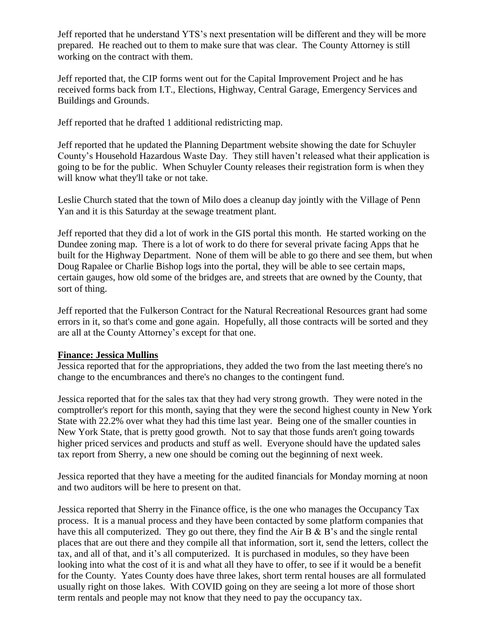Jeff reported that he understand YTS's next presentation will be different and they will be more prepared. He reached out to them to make sure that was clear. The County Attorney is still working on the contract with them.

Jeff reported that, the CIP forms went out for the Capital Improvement Project and he has received forms back from I.T., Elections, Highway, Central Garage, Emergency Services and Buildings and Grounds.

Jeff reported that he drafted 1 additional redistricting map.

Jeff reported that he updated the Planning Department website showing the date for Schuyler County's Household Hazardous Waste Day. They still haven't released what their application is going to be for the public. When Schuyler County releases their registration form is when they will know what they'll take or not take.

Leslie Church stated that the town of Milo does a cleanup day jointly with the Village of Penn Yan and it is this Saturday at the sewage treatment plant.

Jeff reported that they did a lot of work in the GIS portal this month. He started working on the Dundee zoning map. There is a lot of work to do there for several private facing Apps that he built for the Highway Department. None of them will be able to go there and see them, but when Doug Rapalee or Charlie Bishop logs into the portal, they will be able to see certain maps, certain gauges, how old some of the bridges are, and streets that are owned by the County, that sort of thing.

Jeff reported that the Fulkerson Contract for the Natural Recreational Resources grant had some errors in it, so that's come and gone again. Hopefully, all those contracts will be sorted and they are all at the County Attorney's except for that one.

#### **Finance: Jessica Mullins**

Jessica reported that for the appropriations, they added the two from the last meeting there's no change to the encumbrances and there's no changes to the contingent fund.

Jessica reported that for the sales tax that they had very strong growth. They were noted in the comptroller's report for this month, saying that they were the second highest county in New York State with 22.2% over what they had this time last year. Being one of the smaller counties in New York State, that is pretty good growth. Not to say that those funds aren't going towards higher priced services and products and stuff as well. Everyone should have the updated sales tax report from Sherry, a new one should be coming out the beginning of next week.

Jessica reported that they have a meeting for the audited financials for Monday morning at noon and two auditors will be here to present on that.

Jessica reported that Sherry in the Finance office, is the one who manages the Occupancy Tax process. It is a manual process and they have been contacted by some platform companies that have this all computerized. They go out there, they find the Air B & B's and the single rental places that are out there and they compile all that information, sort it, send the letters, collect the tax, and all of that, and it's all computerized. It is purchased in modules, so they have been looking into what the cost of it is and what all they have to offer, to see if it would be a benefit for the County. Yates County does have three lakes, short term rental houses are all formulated usually right on those lakes. With COVID going on they are seeing a lot more of those short term rentals and people may not know that they need to pay the occupancy tax.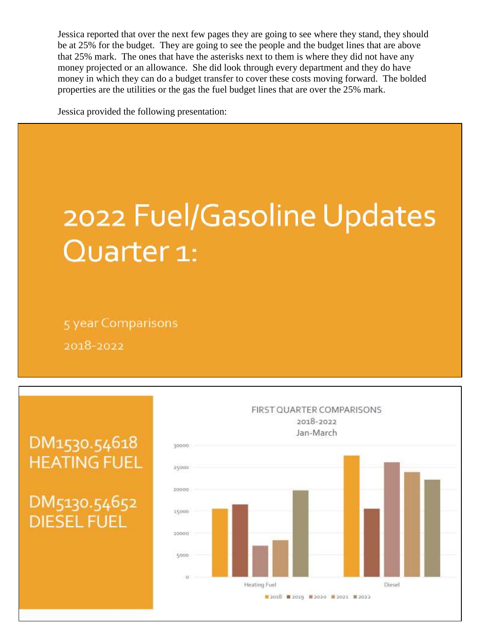Jessica reported that over the next few pages they are going to see where they stand, they should be at 25% for the budget. They are going to see the people and the budget lines that are above that 25% mark. The ones that have the asterisks next to them is where they did not have any money projected or an allowance. She did look through every department and they do have money in which they can do a budget transfer to cover these costs moving forward. The bolded properties are the utilities or the gas the fuel budget lines that are over the 25% mark.

Jessica provided the following presentation:

# 2022 Fuel/Gasoline Updates Quarter 1:

5 year Comparisons 2018-2022



## DM1530.54618 **HEATING FUEL**

DM5130.54652 **DIESEL FUEL**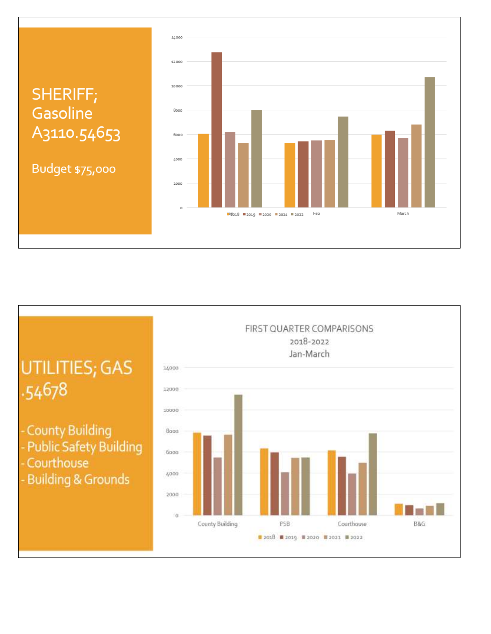## SHERIFF; Gasoline A<sub>3110.54653</sub>

Budget \$75,000



## UTILITIES; GAS .54678

- County Building
- Public Safety Building
- Courthouse
- Building & Grounds

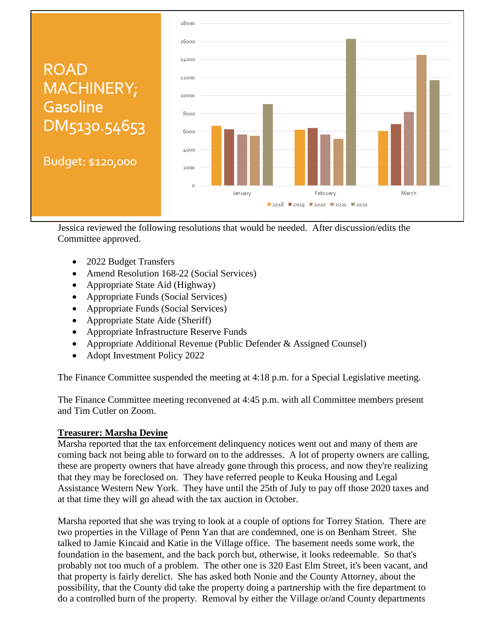

Jessica reviewed the following resolutions that would be needed. After discussion/edits the Committee approved.

- 2022 Budget Transfers
- Amend Resolution 168-22 (Social Services)
- Appropriate State Aid (Highway)
- Appropriate Funds (Social Services)
- Appropriate Funds (Social Services)
- Appropriate State Aide (Sheriff)
- Appropriate Infrastructure Reserve Funds
- Appropriate Additional Revenue (Public Defender & Assigned Counsel)
- Adopt Investment Policy 2022

The Finance Committee suspended the meeting at 4:18 p.m. for a Special Legislative meeting.

The Finance Committee meeting reconvened at 4:45 p.m. with all Committee members present and Tim Cutler on Zoom.

## **Treasurer: Marsha Devine**

Marsha reported that the tax enforcement delinquency notices went out and many of them are coming back not being able to forward on to the addresses. A lot of property owners are calling, these are property owners that have already gone through this process, and now they're realizing that they may be foreclosed on. They have referred people to Keuka Housing and Legal Assistance Western New York. They have until the 25th of July to pay off those 2020 taxes and at that time they will go ahead with the tax auction in October.

Marsha reported that she was trying to look at a couple of options for Torrey Station. There are two properties in the Village of Penn Yan that are condemned, one is on Benham Street. She talked to Jamie Kincaid and Katie in the Village office. The basement needs some work, the foundation in the basement, and the back porch but, otherwise, it looks redeemable. So that's probably not too much of a problem. The other one is 320 East Elm Street, it's been vacant, and that property is fairly derelict. She has asked both Nonie and the County Attorney, about the possibility, that the County did take the property doing a partnership with the fire department to do a controlled burn of the property. Removal by either the Village or/and County departments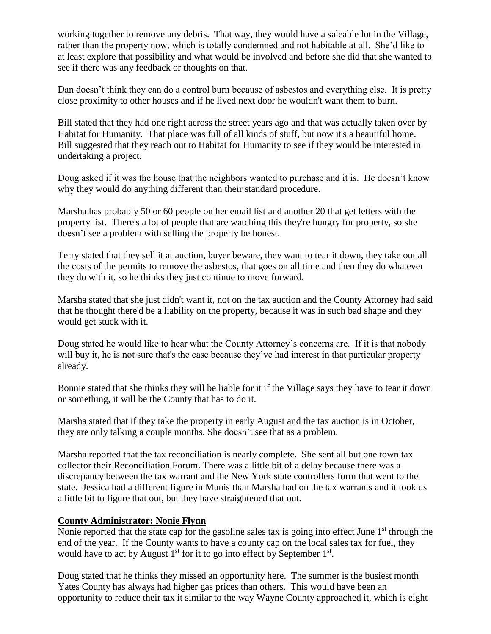working together to remove any debris. That way, they would have a saleable lot in the Village, rather than the property now, which is totally condemned and not habitable at all. She'd like to at least explore that possibility and what would be involved and before she did that she wanted to see if there was any feedback or thoughts on that.

Dan doesn't think they can do a control burn because of asbestos and everything else. It is pretty close proximity to other houses and if he lived next door he wouldn't want them to burn.

Bill stated that they had one right across the street years ago and that was actually taken over by Habitat for Humanity. That place was full of all kinds of stuff, but now it's a beautiful home. Bill suggested that they reach out to Habitat for Humanity to see if they would be interested in undertaking a project.

Doug asked if it was the house that the neighbors wanted to purchase and it is. He doesn't know why they would do anything different than their standard procedure.

Marsha has probably 50 or 60 people on her email list and another 20 that get letters with the property list. There's a lot of people that are watching this they're hungry for property, so she doesn't see a problem with selling the property be honest.

Terry stated that they sell it at auction, buyer beware, they want to tear it down, they take out all the costs of the permits to remove the asbestos, that goes on all time and then they do whatever they do with it, so he thinks they just continue to move forward.

Marsha stated that she just didn't want it, not on the tax auction and the County Attorney had said that he thought there'd be a liability on the property, because it was in such bad shape and they would get stuck with it.

Doug stated he would like to hear what the County Attorney's concerns are. If it is that nobody will buy it, he is not sure that's the case because they've had interest in that particular property already.

Bonnie stated that she thinks they will be liable for it if the Village says they have to tear it down or something, it will be the County that has to do it.

Marsha stated that if they take the property in early August and the tax auction is in October, they are only talking a couple months. She doesn't see that as a problem.

Marsha reported that the tax reconciliation is nearly complete. She sent all but one town tax collector their Reconciliation Forum. There was a little bit of a delay because there was a discrepancy between the tax warrant and the New York state controllers form that went to the state. Jessica had a different figure in Munis than Marsha had on the tax warrants and it took us a little bit to figure that out, but they have straightened that out.

#### **County Administrator: Nonie Flynn**

Nonie reported that the state cap for the gasoline sales tax is going into effect June 1<sup>st</sup> through the end of the year. If the County wants to have a county cap on the local sales tax for fuel, they would have to act by August  $1<sup>st</sup>$  for it to go into effect by September  $1<sup>st</sup>$ .

Doug stated that he thinks they missed an opportunity here. The summer is the busiest month Yates County has always had higher gas prices than others. This would have been an opportunity to reduce their tax it similar to the way Wayne County approached it, which is eight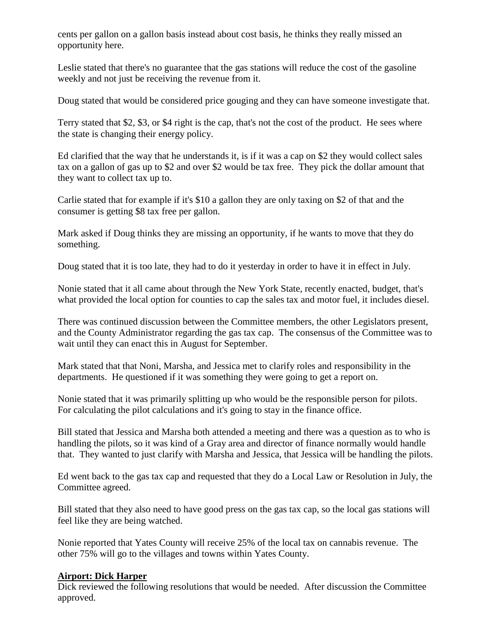cents per gallon on a gallon basis instead about cost basis, he thinks they really missed an opportunity here.

Leslie stated that there's no guarantee that the gas stations will reduce the cost of the gasoline weekly and not just be receiving the revenue from it.

Doug stated that would be considered price gouging and they can have someone investigate that.

Terry stated that \$2, \$3, or \$4 right is the cap, that's not the cost of the product. He sees where the state is changing their energy policy.

Ed clarified that the way that he understands it, is if it was a cap on \$2 they would collect sales tax on a gallon of gas up to \$2 and over \$2 would be tax free. They pick the dollar amount that they want to collect tax up to.

Carlie stated that for example if it's \$10 a gallon they are only taxing on \$2 of that and the consumer is getting \$8 tax free per gallon.

Mark asked if Doug thinks they are missing an opportunity, if he wants to move that they do something.

Doug stated that it is too late, they had to do it yesterday in order to have it in effect in July.

Nonie stated that it all came about through the New York State, recently enacted, budget, that's what provided the local option for counties to cap the sales tax and motor fuel, it includes diesel.

There was continued discussion between the Committee members, the other Legislators present, and the County Administrator regarding the gas tax cap. The consensus of the Committee was to wait until they can enact this in August for September.

Mark stated that that Noni, Marsha, and Jessica met to clarify roles and responsibility in the departments. He questioned if it was something they were going to get a report on.

Nonie stated that it was primarily splitting up who would be the responsible person for pilots. For calculating the pilot calculations and it's going to stay in the finance office.

Bill stated that Jessica and Marsha both attended a meeting and there was a question as to who is handling the pilots, so it was kind of a Gray area and director of finance normally would handle that. They wanted to just clarify with Marsha and Jessica, that Jessica will be handling the pilots.

Ed went back to the gas tax cap and requested that they do a Local Law or Resolution in July, the Committee agreed.

Bill stated that they also need to have good press on the gas tax cap, so the local gas stations will feel like they are being watched.

Nonie reported that Yates County will receive 25% of the local tax on cannabis revenue. The other 75% will go to the villages and towns within Yates County.

## **Airport: Dick Harper**

Dick reviewed the following resolutions that would be needed. After discussion the Committee approved.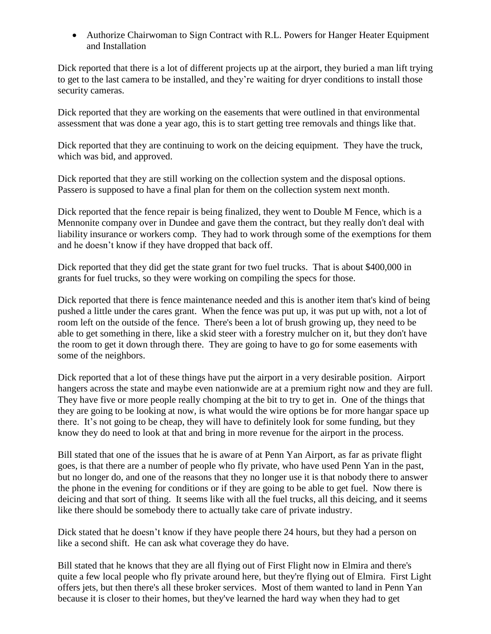Authorize Chairwoman to Sign Contract with R.L. Powers for Hanger Heater Equipment and Installation

Dick reported that there is a lot of different projects up at the airport, they buried a man lift trying to get to the last camera to be installed, and they're waiting for dryer conditions to install those security cameras.

Dick reported that they are working on the easements that were outlined in that environmental assessment that was done a year ago, this is to start getting tree removals and things like that.

Dick reported that they are continuing to work on the deicing equipment. They have the truck, which was bid, and approved.

Dick reported that they are still working on the collection system and the disposal options. Passero is supposed to have a final plan for them on the collection system next month.

Dick reported that the fence repair is being finalized, they went to Double M Fence, which is a Mennonite company over in Dundee and gave them the contract, but they really don't deal with liability insurance or workers comp. They had to work through some of the exemptions for them and he doesn't know if they have dropped that back off.

Dick reported that they did get the state grant for two fuel trucks. That is about \$400,000 in grants for fuel trucks, so they were working on compiling the specs for those.

Dick reported that there is fence maintenance needed and this is another item that's kind of being pushed a little under the cares grant. When the fence was put up, it was put up with, not a lot of room left on the outside of the fence. There's been a lot of brush growing up, they need to be able to get something in there, like a skid steer with a forestry mulcher on it, but they don't have the room to get it down through there. They are going to have to go for some easements with some of the neighbors.

Dick reported that a lot of these things have put the airport in a very desirable position. Airport hangers across the state and maybe even nationwide are at a premium right now and they are full. They have five or more people really chomping at the bit to try to get in. One of the things that they are going to be looking at now, is what would the wire options be for more hangar space up there. It's not going to be cheap, they will have to definitely look for some funding, but they know they do need to look at that and bring in more revenue for the airport in the process.

Bill stated that one of the issues that he is aware of at Penn Yan Airport, as far as private flight goes, is that there are a number of people who fly private, who have used Penn Yan in the past, but no longer do, and one of the reasons that they no longer use it is that nobody there to answer the phone in the evening for conditions or if they are going to be able to get fuel. Now there is deicing and that sort of thing. It seems like with all the fuel trucks, all this deicing, and it seems like there should be somebody there to actually take care of private industry.

Dick stated that he doesn't know if they have people there 24 hours, but they had a person on like a second shift. He can ask what coverage they do have.

Bill stated that he knows that they are all flying out of First Flight now in Elmira and there's quite a few local people who fly private around here, but they're flying out of Elmira. First Light offers jets, but then there's all these broker services. Most of them wanted to land in Penn Yan because it is closer to their homes, but they've learned the hard way when they had to get